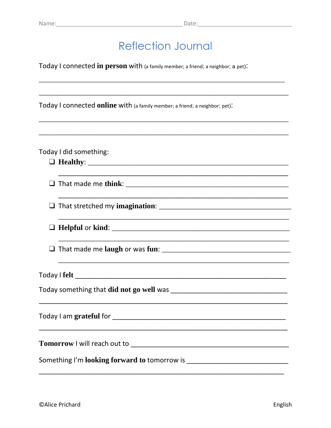<u> 1989 - Johann John Stone, mars and deutscher Stone (1989), deutscher Stone (1989), der der Stone (1989), der</u>

## **Reflection Journal**

Today I connected in person with (a family member; a friend; a neighbor; a pet):

Today I connected online with (a family member; a friend; a neighbor; pet):

#### Today I did something:

|  | <u> 1989 - Johann Harry Harry Harry Harry Harry Harry Harry Harry Harry Harry Harry Harry Harry Harry Harry Harry</u>                                                |  |
|--|----------------------------------------------------------------------------------------------------------------------------------------------------------------------|--|
|  | ,我们也不能会在这里,我们的人们也不能会在这里,我们也不能会在这里,我们也不能会在这里,我们也不能会在这里,我们也不能会在这里,我们也不能会不能会不能会。""我<br>第115章 我们的人们,我们的人们的人们,我们的人们的人们,我们的人们的人们的人们,我们的人们的人们,我们的人们的人们,我们的人们的人们,我们的人们的人们,我们 |  |
|  |                                                                                                                                                                      |  |
|  |                                                                                                                                                                      |  |
|  |                                                                                                                                                                      |  |
|  |                                                                                                                                                                      |  |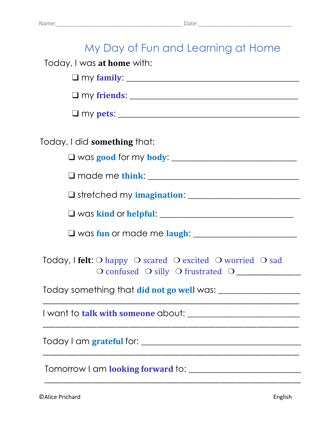| My Day of Fun and Learning at Home                                                                    |
|-------------------------------------------------------------------------------------------------------|
| Today, I was at home with:                                                                            |
|                                                                                                       |
|                                                                                                       |
|                                                                                                       |
| Today, I did something that:                                                                          |
|                                                                                                       |
|                                                                                                       |
| Similar Stretched my imagination: Stretched my imagination:                                           |
|                                                                                                       |
|                                                                                                       |
| Today, I felt: O happy O scared O excited O worried O sad<br>O confused O silly O frustrated O ______ |
|                                                                                                       |
|                                                                                                       |
|                                                                                                       |
|                                                                                                       |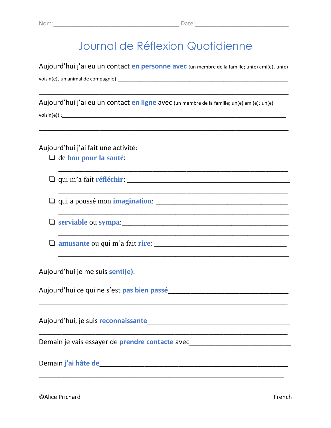# Journal de Réflexion Quotidienne

Aujourd'hui j'ai eu un contact en personne avec (un membre de la famille; un(e) ami(e); un(e)

voisin(e); un animal de compagnie): example en la compagnie de la compagnie de la compagnie de la compagnie de

Aujourd'hui j'ai eu un contact en ligne avec (un membre de la famille; un(e) ami(e); un(e)

#### Aujourd'hui j'ai fait une activité:

- $\Box$  de bon pour la santé:<br>  $\Box$
- 

 $\Box$  qui a poussé mon **imagination**:

 $\Box$  serviable ou sympa:

 $\Box$  amusante ou qui m'a fait rire:

Demain je vais essayer de prendre contacte avec\_\_\_\_\_\_\_\_\_\_\_\_\_\_\_\_\_\_\_\_\_\_\_\_\_\_\_\_\_\_\_\_\_

**CAlice Prichard**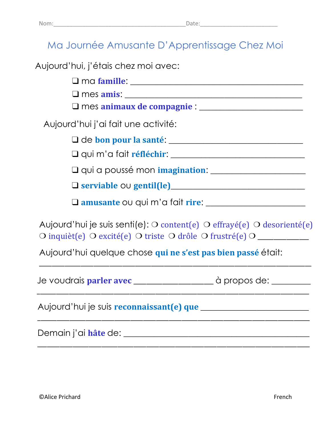## Ma Journée Amusante D'Apprentissage Chez Moi

Aujourd'hui, j'étais chez moi avec:

❑ ma **famille**: \_\_\_\_\_\_\_\_\_\_\_\_\_\_\_\_\_\_\_\_\_\_\_\_\_\_\_\_\_\_\_\_\_\_\_\_\_\_\_\_

❑ mes **amis**: \_\_\_\_\_\_\_\_\_\_\_\_\_\_\_\_\_\_\_\_\_\_\_\_\_\_\_\_\_\_\_\_\_\_\_\_\_\_\_\_\_

❑ mes **animaux de compagnie** : \_\_\_\_\_\_\_\_\_\_\_\_\_\_\_\_\_\_\_\_\_\_\_\_

Aujourd'hui j'ai fait une activité:

❑ de **bon pour la santé**: \_\_\_\_\_\_\_\_\_\_\_\_\_\_\_\_\_\_\_\_\_\_\_\_\_\_\_\_\_\_\_

❑ qui m'a fait **réfléchir**: \_\_\_\_\_\_\_\_\_\_\_\_\_\_\_\_\_\_\_\_\_\_\_\_\_\_\_\_\_\_\_

❑ qui a poussé mon **imagination**: \_\_\_\_\_\_\_\_\_\_\_\_\_\_\_\_\_\_\_\_\_\_

❑ **serviable** ou **gentil(le)**\_\_\_\_\_\_\_\_\_\_\_\_\_\_\_\_\_\_\_\_\_\_\_\_\_\_\_\_\_\_\_

❑ **amusante** ou qui m'a fait **rire**: \_\_\_\_\_\_\_\_\_\_\_\_\_\_\_\_\_\_\_\_\_\_\_

Aujourd'hui je suis senti(e): ❍ content(e) ❍ effrayé(e) ❍ desorienté(e) ❍ inquièt(e) ❍ excité(e) ❍ triste ❍ drôle ❍ frustré(e) ❍ \_\_\_\_\_\_\_\_\_\_\_\_\_\_\_\_

\_\_\_\_\_\_\_\_\_\_\_\_\_\_\_\_\_\_\_\_\_\_\_\_\_\_\_\_\_\_\_\_\_\_\_\_\_\_\_\_\_\_\_\_\_\_\_\_\_\_\_\_\_\_\_\_\_\_\_\_\_\_\_\_\_\_\_\_\_\_\_\_\_\_\_\_\_\_\_\_\_\_\_\_\_

\_\_\_\_\_\_\_\_\_\_\_\_\_\_\_\_\_\_\_\_\_\_\_\_\_\_\_\_\_\_\_\_\_\_\_\_\_\_\_\_\_\_\_\_\_\_\_\_\_\_\_\_\_\_\_\_\_\_\_\_\_\_\_\_\_\_\_\_\_\_\_\_\_\_\_\_\_\_\_\_\_\_\_\_\_

\_\_\_\_\_\_\_\_\_\_\_\_\_\_\_\_\_\_\_\_\_\_\_\_\_\_\_\_\_\_\_\_\_\_\_\_\_\_\_\_\_\_\_\_\_\_\_\_\_\_\_\_\_\_\_\_\_\_\_\_\_\_\_\_\_\_\_\_\_\_\_\_\_\_\_\_\_\_\_\_\_\_\_\_\_

\_\_\_\_\_\_\_\_\_\_\_\_\_\_\_\_\_\_\_\_\_\_\_\_\_\_\_\_\_\_\_\_\_\_\_\_\_\_\_\_\_\_\_\_\_\_\_\_\_\_\_\_\_\_\_\_\_\_\_\_\_\_\_\_\_\_\_\_\_\_\_\_\_\_\_\_\_\_\_\_\_\_\_\_\_

Aujourd'hui quelque chose **qui ne s'est pas bien passé** était:

Je voudrais **parler avec** \_\_\_\_\_\_\_\_\_\_\_\_\_\_\_\_\_\_\_\_\_\_\_\_\_ à propos de: \_\_\_\_\_\_\_\_\_

Aujourd'hui je suis **reconnaissant(e) que** \_\_\_\_\_\_\_\_\_\_\_\_\_\_\_\_\_\_\_\_\_\_\_\_\_

Demain j'ai **hâte** de: \_\_\_\_\_\_\_\_\_\_\_\_\_\_\_\_\_\_\_\_\_\_\_\_\_\_\_\_\_\_\_\_\_\_\_\_\_\_\_\_\_\_\_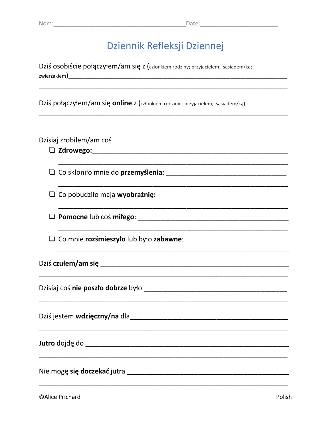### Dziennik Refleksji Dziennej

Dziś osobiście połączyłem/am się z (członkiem rodziny; przyjacielem; sąsiadem/ką; 

Dziś połączyłem/am się online z (członkiem rodziny; przyjacielem; sąsiadem/ką)

### Dzisiaj zrobiłem/am coś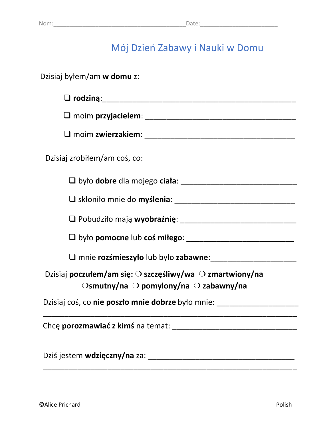## Mój Dzień Zabawy i Nauki w Domu

| Dzisiaj byłem/am w domu z:                                                                                                                      |
|-------------------------------------------------------------------------------------------------------------------------------------------------|
|                                                                                                                                                 |
|                                                                                                                                                 |
|                                                                                                                                                 |
| Dzisiaj zrobiłem/am coś, co:                                                                                                                    |
|                                                                                                                                                 |
|                                                                                                                                                 |
| O Pobudziło mają wyobraźnię: [1982] Pobudziło mają wyobraźnię:                                                                                  |
|                                                                                                                                                 |
|                                                                                                                                                 |
| Dzisiaj poczułem/am się: $\bigcirc$ szczęśliwy/wa $\bigcirc$ zmartwiony/na<br>$\bigcirc$ smutny/na $\bigcirc$ pomylony/na $\bigcirc$ zabawny/na |
| Dzisiaj coś, co nie poszło mnie dobrze było mnie: ______________________________                                                                |
| Chce porozmawiać z kimś na temat:                                                                                                               |
| Dziś jestem wdzięczny/na za:                                                                                                                    |

\_\_\_\_\_\_\_\_\_\_\_\_\_\_\_\_\_\_\_\_\_\_\_\_\_\_\_\_\_\_\_\_\_\_\_\_\_\_\_\_\_\_\_\_\_\_\_\_\_\_\_\_\_\_\_\_\_\_\_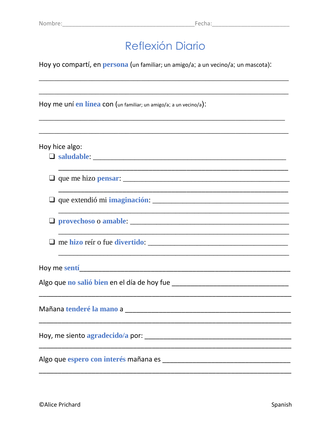## **Reflexión Diario**

Hoy yo compartí, en persona (un familiar; un amigo/a; a un vecino/a; un mascota):

Hoy me uní en línea con (un familiar; un amigo/a; a un vecino/a):

Hoy hice algo:

 $\Box$  que me hizo **pensar**:  $\Box$ 

Algo que no salió bien en el día de hoy fue **contrar algo de la contrar algo de la contrar algo de la contrar a**